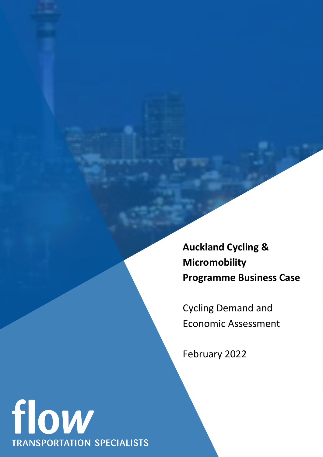**Auckland Cycling & Micromobility Programme Business Case**

Cycling Demand and Economic Assessment

February 2022

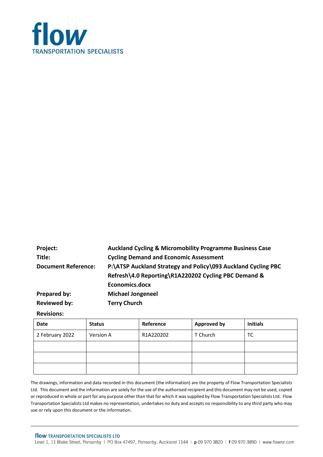

| Project:                   | <b>Auckland Cycling &amp; Micromobility Programme Business Case</b> |
|----------------------------|---------------------------------------------------------------------|
| Title:                     | <b>Cycling Demand and Economic Assessment</b>                       |
| <b>Document Reference:</b> | P:\ATSP Auckland Strategy and Policy\093 Auckland Cycling PBC       |
|                            | Refresh\4.0 Reporting\R1A220202 Cycling PBC Demand &                |
|                            | Economics.docx                                                      |
| Prepared by:               | <b>Michael Jongeneel</b>                                            |
| <b>Reviewed by:</b>        | <b>Terry Church</b>                                                 |

#### **Revisions:**

| Date            | <b>Status</b> | Reference | <b>Approved by</b> | <b>Initials</b> |
|-----------------|---------------|-----------|--------------------|-----------------|
| 2 February 2022 | Version A     | R1A220202 | T Church           | ТC              |
|                 |               |           |                    |                 |
|                 |               |           |                    |                 |
|                 |               |           |                    |                 |

The drawings, information and data recorded in this document (the information) are the property of Flow Transportation Specialists Ltd. This document and the information are solely for the use of the authorised recipient and this document may not be used, copied or reproduced in whole or part for any purpose other than that for which it was supplied by Flow Transportation Specialists Ltd. Flow Transportation Specialists Ltd makes no representation, undertakes no duty and accepts no responsibility to any third party who may use or rely upon this document or the information.

#### **flow TRANSPORTATION SPECIALISTS LTD**

Level 1, 11 Blake Street, Ponsonby | PO Box 47497, Ponsonby, Auckland 1144 | p 09 970 3820 | f 09 970 3890 | www.flownz.com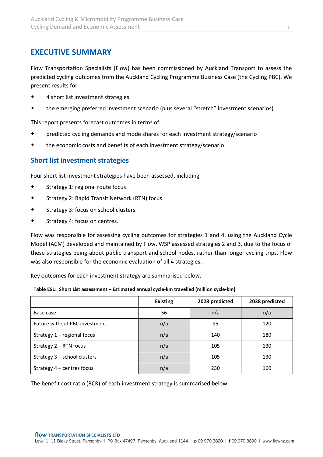### **EXECUTIVE SUMMARY**

Flow Transportation Specialists (Flow) has been commissioned by Auckland Transport to assess the predicted cycling outcomes from the Auckland Cycling Programme Business Case (the Cycling PBC). We present results for

- 4 short list investment strategies
- the emerging preferred investment scenario (plus several "stretch" investment scenarios).

This report presents forecast outcomes in terms of

- predicted cycling demands and mode shares for each investment strategy/scenario
- the economic costs and benefits of each investment strategy/scenario.

### **Short list investment strategies**

Four short list investment strategies have been assessed, including

- Strategy 1: regional route focus
- Strategy 2: Rapid Transit Network (RTN) focus
- Strategy 3: focus on school clusters
- Strategy 4: focus on centres.

Flow was responsible for assessing cycling outcomes for strategies 1 and 4, using the Auckland Cycle Model (ACM) developed and maintained by Flow. WSP assessed strategies 2 and 3, due to the focus of these strategies being about public transport and school nodes, rather than longer cycling trips. Flow was also responsible for the economic evaluation of all 4 strategies.

Key outcomes for each investment strategy are summarised below.

|  | Table ES1: Short List assessment - Estimated annual cycle-km travelled (million cycle-km) |  |  |  |
|--|-------------------------------------------------------------------------------------------|--|--|--|
|--|-------------------------------------------------------------------------------------------|--|--|--|

|                               | <b>Existing</b> | 2028 predicted | 2038 predicted |
|-------------------------------|-----------------|----------------|----------------|
| Base case                     | 56              | n/a            | n/a            |
| Future without PBC investment | n/a             | 95             | 120            |
| Strategy 1 - regional focus   | n/a             | 140            | 180            |
| Strategy 2 – RTN focus        | n/a             | 105            | 130            |
| Strategy 3 - school clusters  | n/a             | 105            | 130            |
| Strategy $4$ – centres focus  | n/a             | 230            | 160            |

The benefit cost ratio (BCR) of each investment strategy is summarised below.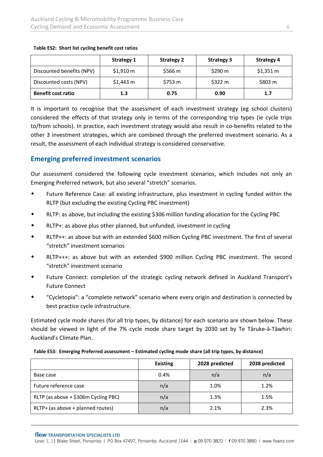|                           | <b>Strategy 1</b>  | <b>Strategy 2</b> | <b>Strategy 3</b> | <b>Strategy 4</b>  |
|---------------------------|--------------------|-------------------|-------------------|--------------------|
| Discounted benefits (NPV) | $$1,910 \text{ m}$ | \$566 m           | \$290 m           | $$1,351 \text{ m}$ |
| Discounted costs (NPV)    | $$1,443$ m         | \$753 m           | \$322 m           | \$803 m            |
| <b>Benefit cost ratio</b> | 1.3                | 0.75              | 0.90              | 1.7                |

#### **Table ES2: Short list cycling benefit cost ratios**

It is important to recognise that the assessment of each investment strategy (eg school clusters) considered the effects of that strategy only in terms of the corresponding trip types (ie cycle trips to/from schools). In practice, each investment strategy would also result in co-benefits related to the other 3 investment strategies, which are combined through the preferred investment scenario. As a result, the assessment of each individual strategy is considered conservative.

### **Emerging preferred investment scenarios**

Our assessment considered the following cycle investment scenarios, which includes not only an Emerging Preferred network, but also several "stretch" scenarios.

- Future Reference Case: all existing infrastructure, plus investment in cycling funded within the RLTP (but excluding the existing Cycling PBC investment)
- RLTP: as above, but including the existing \$306 million funding allocation for the Cycling PBC
- RLTP+: as above plus other planned, but unfunded, investment in cycling
- RLTP++: as above but with an extended \$600 million Cycling PBC investment. The first of several "stretch" investment scenarios
- RLTP+++: as above but with an extended \$900 million Cycling PBC investment. The second "stretch" investment scenario
- Future Connect: completion of the strategic cycling network defined in Auckland Transport's Future Connect
- "Cycletopia": a "complete network" scenario where every origin and destination is connected by best practice cycle infrastructure.

Estimated cycle mode shares (for all trip types, by distance) for each scenario are shown below. These should be viewed in light of the 7% cycle mode share target by 2030 set by Te Tāruke-ā-Tāwhiri: Auckland's Climate Plan.

|                                      | <b>Existing</b> | 2028 predicted | 2038 predicted |
|--------------------------------------|-----------------|----------------|----------------|
| Base case                            | 0.4%            | n/a            | n/a            |
| Future reference case                | n/a             | 1.0%           | 1.2%           |
| RLTP (as above + \$306m Cycling PBC) | n/a             | 1.3%           | 1.5%           |
| RLTP+ (as above + planned routes)    | n/a             | 2.1%           | 2.3%           |

#### **Table ES3: Emerging Preferred assessment – Estimated cycling mode share (all trip types, by distance)**

**flow TRANSPORTATION SPECIALISTS LTD** 

Level 1, 11 Blake Street, Ponsonby | PO Box 47497, Ponsonby, Auckland 1144 | p 09 970 3820 | f 09 970 3890 | www.flownz.com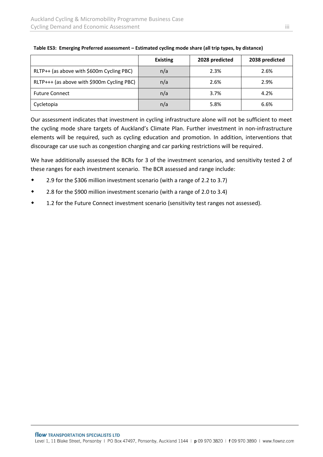|                                            | <b>Existing</b> | 2028 predicted | 2038 predicted |
|--------------------------------------------|-----------------|----------------|----------------|
| RLTP++ (as above with \$600m Cycling PBC)  | n/a             | 2.3%           | 2.6%           |
| RLTP+++ (as above with \$900m Cycling PBC) | n/a             | 2.6%           | 2.9%           |
| <b>Future Connect</b>                      | n/a             | 3.7%           | 4.2%           |
| Cycletopia                                 | n/a             | 5.8%           | 6.6%           |

**Table ES3: Emerging Preferred assessment – Estimated cycling mode share (all trip types, by distance)**

Our assessment indicates that investment in cycling infrastructure alone will not be sufficient to meet the cycling mode share targets of Auckland's Climate Plan. Further investment in non-infrastructure elements will be required, such as cycling education and promotion. In addition, interventions that discourage car use such as congestion charging and car parking restrictions will be required.

We have additionally assessed the BCRs for 3 of the investment scenarios, and sensitivity tested 2 of these ranges for each investment scenario. The BCR assessed and range include:

- 2.9 for the \$306 million investment scenario (with a range of 2.2 to 3.7)
- 2.8 for the \$900 million investment scenario (with a range of 2.0 to 3.4)
- 1.2 for the Future Connect investment scenario (sensitivity test ranges not assessed).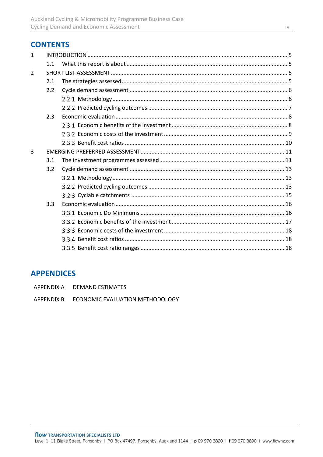### **CONTENTS**

| 1              |     |  |
|----------------|-----|--|
|                | 1.1 |  |
| $\overline{2}$ |     |  |
|                | 2.1 |  |
|                | 2.2 |  |
|                |     |  |
|                |     |  |
|                | 2.3 |  |
|                |     |  |
|                |     |  |
|                |     |  |
| 3              |     |  |
|                | 3.1 |  |
|                | 3.2 |  |
|                |     |  |
|                |     |  |
|                |     |  |
|                | 3.3 |  |
|                |     |  |
|                |     |  |
|                |     |  |
|                |     |  |
|                |     |  |
|                |     |  |

### **APPENDICES**

- APPENDIX A DEMAND ESTIMATES
- APPENDIX B ECONOMIC EVALUATION METHODOLOGY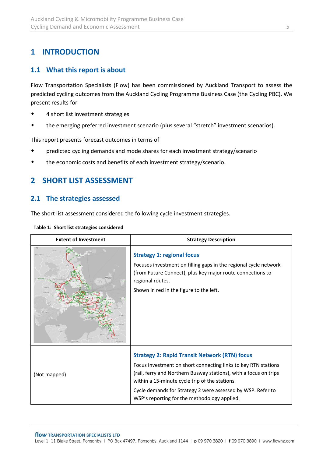### <span id="page-6-0"></span>**1 INTRODUCTION**

### <span id="page-6-1"></span>**1.1 What this report is about**

Flow Transportation Specialists (Flow) has been commissioned by Auckland Transport to assess the predicted cycling outcomes from the Auckland Cycling Programme Business Case (the Cycling PBC). We present results for

- 4 short list investment strategies
- the emerging preferred investment scenario (plus several "stretch" investment scenarios).

This report presents forecast outcomes in terms of

- predicted cycling demands and mode shares for each investment strategy/scenario
- the economic costs and benefits of each investment strategy/scenario.

## <span id="page-6-2"></span>**2 SHORT LIST ASSESSMENT**

### <span id="page-6-3"></span>**2.1 The strategies assessed**

The short list assessment considered the following cycle investment strategies.

| <b>Extent of Investment</b> | <b>Strategy Description</b>                                                                                                                                                                                                                                                                                                                                  |
|-----------------------------|--------------------------------------------------------------------------------------------------------------------------------------------------------------------------------------------------------------------------------------------------------------------------------------------------------------------------------------------------------------|
|                             | <b>Strategy 1: regional focus</b><br>Focuses investment on filling gaps in the regional cycle network<br>(from Future Connect), plus key major route connections to<br>regional routes.<br>Shown in red in the figure to the left.                                                                                                                           |
| (Not mapped)                | <b>Strategy 2: Rapid Transit Network (RTN) focus</b><br>Focus investment on short connecting links to key RTN stations<br>(rail, ferry and Northern Busway stations), with a focus on trips<br>within a 15-minute cycle trip of the stations.<br>Cycle demands for Strategy 2 were assessed by WSP. Refer to<br>WSP's reporting for the methodology applied. |

#### **Table 1: Short list strategies considered**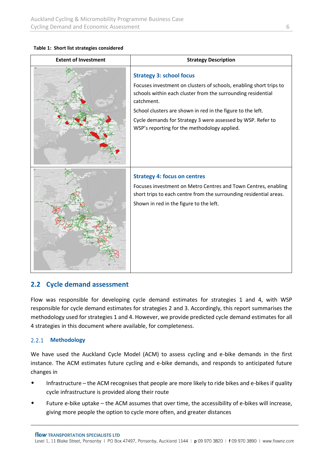**Table 1: Short list strategies considered**

| <b>Extent of Investment</b> | <b>Strategy Description</b>                                                                                                                                                                                                                                                                                                                                       |
|-----------------------------|-------------------------------------------------------------------------------------------------------------------------------------------------------------------------------------------------------------------------------------------------------------------------------------------------------------------------------------------------------------------|
|                             | <b>Strategy 3: school focus</b><br>Focuses investment on clusters of schools, enabling short trips to<br>schools within each cluster from the surrounding residential<br>catchment.<br>School clusters are shown in red in the figure to the left.<br>Cycle demands for Strategy 3 were assessed by WSP. Refer to<br>WSP's reporting for the methodology applied. |
|                             | <b>Strategy 4: focus on centres</b><br>Focuses investment on Metro Centres and Town Centres, enabling<br>short trips to each centre from the surrounding residential areas.<br>Shown in red in the figure to the left.                                                                                                                                            |

### <span id="page-7-0"></span>**2.2 Cycle demand assessment**

Flow was responsible for developing cycle demand estimates for strategies 1 and 4, with WSP responsible for cycle demand estimates for strategies 2 and 3. Accordingly, this report summarises the methodology used for strategies 1 and 4. However, we provide predicted cycle demand estimates for all 4 strategies in this document where available, for completeness.

#### <span id="page-7-1"></span>**Methodology**

We have used the Auckland Cycle Model (ACM) to assess cycling and e-bike demands in the first instance. The ACM estimates future cycling and e-bike demands, and responds to anticipated future changes in

- Infrastructure the ACM recognises that people are more likely to ride bikes and e-bikes if quality cycle infrastructure is provided along their route
- Future e-bike uptake the ACM assumes that over time, the accessibility of e-bikes will increase, giving more people the option to cycle more often, and greater distances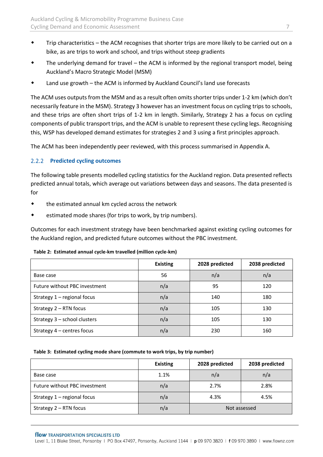- Trip characteristics the ACM recognises that shorter trips are more likely to be carried out on a bike, as are trips to work and school, and trips without steep gradients
- The underlying demand for travel the ACM is informed by the regional transport model, being Auckland's Macro Strategic Model (MSM)
- Land use growth the ACM is informed by Auckland Council's land use forecasts

The ACM uses outputs from the MSM and as a result often omits shorter trips under 1-2 km (which don't necessarily feature in the MSM). Strategy 3 however has an investment focus on cycling trips to schools, and these trips are often short trips of 1-2 km in length. Similarly, Strategy 2 has a focus on cycling components of public transport trips, and the ACM is unable to represent these cycling legs. Recognising this, WSP has developed demand estimates for strategies 2 and 3 using a first principles approach.

The ACM has been independently peer reviewed, with this process summarised in Appendix A.

#### <span id="page-8-0"></span>**Predicted cycling outcomes**

The following table presents modelled cycling statistics for the Auckland region. Data presented reflects predicted annual totals, which average out variations between days and seasons. The data presented is for

- the estimated annual km cycled across the network
- estimated mode shares (for trips to work, by trip numbers).

Outcomes for each investment strategy have been benchmarked against existing cycling outcomes for the Auckland region, and predicted future outcomes without the PBC investment.

|                               | <b>Existing</b> | 2028 predicted | 2038 predicted |
|-------------------------------|-----------------|----------------|----------------|
| Base case                     | 56              | n/a            | n/a            |
| Future without PBC investment | n/a             | 95             | 120            |
| Strategy $1 -$ regional focus | n/a             | 140            | 180            |
| Strategy 2 - RTN focus        | n/a             | 105            | 130            |
| Strategy 3 - school clusters  | n/a             | 105            | 130            |
| Strategy $4$ – centres focus  | n/a             | 230            | 160            |

#### **Table 3: Estimated cycling mode share (commute to work trips, by trip number)**

|                               | <b>Existing</b> | 2028 predicted | 2038 predicted |
|-------------------------------|-----------------|----------------|----------------|
| Base case                     | 1.1%            | n/a            | n/a            |
| Future without PBC investment | n/a             | 2.7%           | 2.8%           |
| Strategy 1 - regional focus   | n/a             | 4.3%           | 4.5%           |
| Strategy 2 – RTN focus        | n/a             | Not assessed   |                |

#### **flow TRANSPORTATION SPECIALISTS LTD**

Level 1, 11 Blake Street, Ponsonby | PO Box 47497, Ponsonby, Auckland 1144 | p 09 970 3820 | f 09 970 3890 | www.flownz.com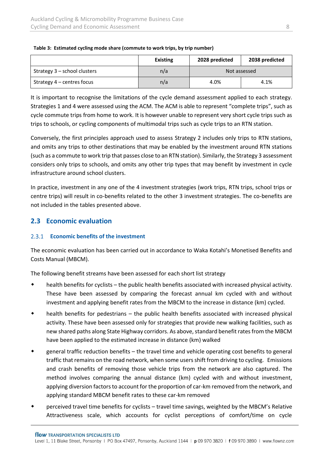|                              | <b>Existing</b> | 2028 predicted | 2038 predicted |
|------------------------------|-----------------|----------------|----------------|
| Strategy 3 – school clusters | n/a             | Not assessed   |                |
| Strategy $4$ – centres focus | n/a             | 4.0%           | 4.1%           |

#### **Table 3: Estimated cycling mode share (commute to work trips, by trip number)**

It is important to recognise the limitations of the cycle demand assessment applied to each strategy. Strategies 1 and 4 were assessed using the ACM. The ACM is able to represent "complete trips", such as cycle commute trips from home to work. It is however unable to represent very short cycle trips such as trips to schools, or cycling components of multimodal trips such as cycle trips to an RTN station.

Conversely, the first principles approach used to assess Strategy 2 includes only trips to RTN stations, and omits any trips to other destinations that may be enabled by the investment around RTN stations (such as a commute to work trip that passes close to an RTN station). Similarly, the Strategy 3 assessment considers only trips to schools, and omits any other trip types that may benefit by investment in cycle infrastructure around school clusters.

In practice, investment in any one of the 4 investment strategies (work trips, RTN trips, school trips or centre trips) will result in co-benefits related to the other 3 investment strategies. The co-benefits are not included in the tables presented above.

### <span id="page-9-0"></span>**2.3 Economic evaluation**

#### <span id="page-9-1"></span>**Economic benefits of the investment**

The economic evaluation has been carried out in accordance to Waka Kotahi's Monetised Benefits and Costs Manual (MBCM).

The following benefit streams have been assessed for each short list strategy

- health benefits for cyclists the public health benefits associated with increased physical activity. These have been assessed by comparing the forecast annual km cycled with and without investment and applying benefit rates from the MBCM to the increase in distance (km) cycled.
- health benefits for pedestrians the public health benefits associated with increased physical activity. These have been assessed only for strategies that provide new walking facilities, such as new shared paths along State Highway corridors. As above, standard benefit rates from the MBCM have been applied to the estimated increase in distance (km) walked
- general traffic reduction benefits the travel time and vehicle operating cost benefits to general traffic that remains on the road network, when some users shift from driving to cycling. Emissions and crash benefits of removing those vehicle trips from the network are also captured. The method involves comparing the annual distance (km) cycled with and without investment, applying diversion factors to account for the proportion of car-km removed from the network, and applying standard MBCM benefit rates to these car-km removed
- perceived travel time benefits for cyclists travel time savings, weighted by the MBCM's Relative Attractiveness scale, which accounts for cyclist perceptions of comfort/time on cycle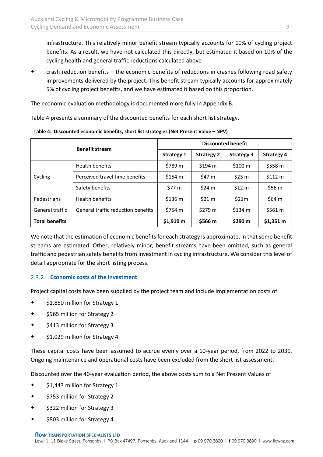infrastructure. This relatively minor benefit stream typically accounts for 10% of cycling project benefits. As a result, we have not calculated this directly, but estimated it based on 10% of the cycling health and general traffic reductions calculated above

 crash reduction benefits – the economic benefits of reductions in crashes following road safety improvements delivered by the project. This benefit stream typically accounts for approximately 5% of cycling project benefits, and we have estimated it based on this proportion.

The economic evaluation methodology is documented more fully in Appendix B.

[Table 4](#page-10-1) presents a summary of the discounted benefits for each short list strategy.

| <b>Benefit stream</b> |                                    | <b>Discounted benefit</b> |                   |                   |                   |
|-----------------------|------------------------------------|---------------------------|-------------------|-------------------|-------------------|
|                       |                                    | <b>Strategy 1</b>         | <b>Strategy 2</b> | <b>Strategy 3</b> | <b>Strategy 4</b> |
|                       | <b>Health benefits</b>             | \$789 m                   | \$194 m           | \$100 $m$         | \$558 m           |
| Cycling               | Perceived travel time benefits     | \$154 m                   | \$47 m            | \$23 m            | \$112 m           |
|                       | Safety benefits                    | \$77 m                    | \$24 m            | \$12 m            | \$56 m            |
| Pedestrians           | <b>Health benefits</b>             | \$136 m                   | \$21 m            | \$21m             | \$64 m            |
| General traffic       | General traffic reduction benefits | \$754 m                   | \$279 m           | \$134 m           | \$561 $m$         |
| <b>Total benefits</b> |                                    | \$1,910 m                 | \$566 m           | \$290 m           | \$1,351 m         |

<span id="page-10-1"></span>**Table 4: Discounted economic benefits, short list strategies (Net Present Value – NPV)**

We note that the estimation of economic benefits for each strategy is approximate, in that some benefit streams are estimated. Other, relatively minor, benefit streams have been omitted, such as general traffic and pedestrian safety benefits from investment in cycling infrastructure. We consider this level of detail appropriate for the short listing process.

### <span id="page-10-0"></span>**Economic costs of the investment**

Project capital costs have been supplied by the project team and include implementation costs of

- \$1,850 million for Strategy 1
- \$965 million for Strategy 2
- \$413 million for Strategy 3
- \$1,029 million for Strategy 4

These capital costs have been assumed to accrue evenly over a 10-year period, from 2022 to 2031. Ongoing maintenance and operational costs have been excluded from the short list assessment.

Discounted over the 40-year evaluation period, the above costs sum to a Net Present Values of

- \$1,443 million for Strategy 1
- \$753 million for Strategy 2
- \$322 million for Strategy 3
- \$803 million for Strategy 4.

#### **flow TRANSPORTATION SPECIALISTS LTD**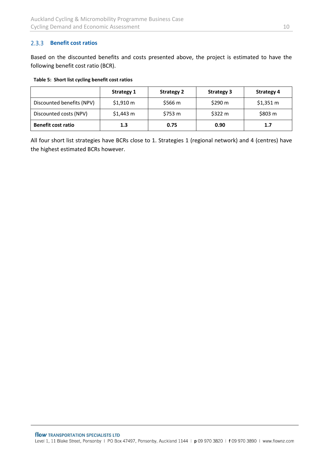#### <span id="page-11-0"></span>**Benefit cost ratios**

Based on the discounted benefits and costs presented above, the project is estimated to have the following benefit cost ratio (BCR).

#### **Table 5: Short list cycling benefit cost ratios**

|                           | <b>Strategy 1</b>  | <b>Strategy 2</b> | <b>Strategy 3</b> | <b>Strategy 4</b>  |
|---------------------------|--------------------|-------------------|-------------------|--------------------|
| Discounted benefits (NPV) | $$1,910 \text{ m}$ | \$566 m           | \$290 m           | $$1,351 \text{ m}$ |
| Discounted costs (NPV)    | $$1,443$ m         | \$753 m           | \$322 m           | \$803 m            |
| <b>Benefit cost ratio</b> | 1.3                | 0.75              | 0.90              | 1.7                |

All four short list strategies have BCRs close to 1. Strategies 1 (regional network) and 4 (centres) have the highest estimated BCRs however.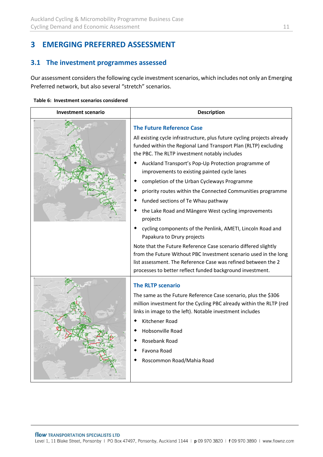### <span id="page-12-0"></span>**3 EMERGING PREFERRED ASSESSMENT**

### <span id="page-12-1"></span>**3.1 The investment programmes assessed**

Our assessment considers the following cycle investment scenarios, which includes not only an Emerging Preferred network, but also several "stretch" scenarios.

#### <span id="page-12-2"></span>**Table 6: Investment scenarios considered**

| <b>Investment scenario</b> | <b>Description</b>                                                                                                                                                                                                                                                                                                                                                                                                                                                                                                                                                                                                                                                                                                                                                                                                                                                                                                           |
|----------------------------|------------------------------------------------------------------------------------------------------------------------------------------------------------------------------------------------------------------------------------------------------------------------------------------------------------------------------------------------------------------------------------------------------------------------------------------------------------------------------------------------------------------------------------------------------------------------------------------------------------------------------------------------------------------------------------------------------------------------------------------------------------------------------------------------------------------------------------------------------------------------------------------------------------------------------|
|                            | <b>The Future Reference Case</b><br>All existing cycle infrastructure, plus future cycling projects already<br>funded within the Regional Land Transport Plan (RLTP) excluding<br>the PBC. The RLTP investment notably includes<br>Auckland Transport's Pop-Up Protection programme of<br>improvements to existing painted cycle lanes<br>completion of the Urban Cycleways Programme<br>priority routes within the Connected Communities programme<br>funded sections of Te Whau pathway<br>the Lake Road and Mängere West cycling improvements<br>projects<br>cycling components of the Penlink, AMETI, Lincoln Road and<br>Papakura to Drury projects<br>Note that the Future Reference Case scenario differed slightly<br>from the Future Without PBC Investment scenario used in the long<br>list assessment. The Reference Case was refined between the 2<br>processes to better reflect funded background investment. |
|                            | <b>The RLTP scenario</b><br>The same as the Future Reference Case scenario, plus the \$306<br>million investment for the Cycling PBC already within the RLTP (red<br>links in image to the left). Notable investment includes<br>Kitchener Road<br>Hobsonville Road<br>Rosebank Road<br>Favona Road<br>Roscommon Road/Mahia Road                                                                                                                                                                                                                                                                                                                                                                                                                                                                                                                                                                                             |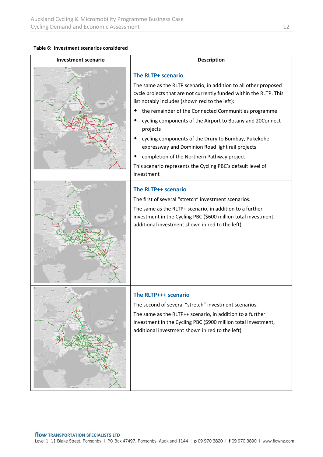#### **Table 6: Investment scenarios considered**

| <b>Investment scenario</b> | <b>Description</b>                                                                                                                                                                                                                                                                                                                                                                                                                                                                                                                                                                           |
|----------------------------|----------------------------------------------------------------------------------------------------------------------------------------------------------------------------------------------------------------------------------------------------------------------------------------------------------------------------------------------------------------------------------------------------------------------------------------------------------------------------------------------------------------------------------------------------------------------------------------------|
|                            | <b>The RLTP+ scenario</b><br>The same as the RLTP scenario, in addition to all other proposed<br>cycle projects that are not currently funded within the RLTP. This<br>list notably includes (shown red to the left):<br>the remainder of the Connected Communities programme<br>cycling components of the Airport to Botany and 20Connect<br>projects<br>cycling components of the Drury to Bombay, Pukekohe<br>expressway and Dominion Road light rail projects<br>completion of the Northern Pathway project<br>This scenario represents the Cycling PBC's default level of<br>investment |
|                            | The RLTP++ scenario<br>The first of several "stretch" investment scenarios.<br>The same as the RLTP+ scenario, in addition to a further<br>investment in the Cycling PBC (\$600 million total investment,<br>additional investment shown in red to the left)                                                                                                                                                                                                                                                                                                                                 |
|                            | The RLTP+++ scenario<br>The second of several "stretch" investment scenarios.<br>The same as the RLTP++ scenario, in addition to a further<br>investment in the Cycling PBC (\$900 million total investment,<br>additional investment shown in red to the left)                                                                                                                                                                                                                                                                                                                              |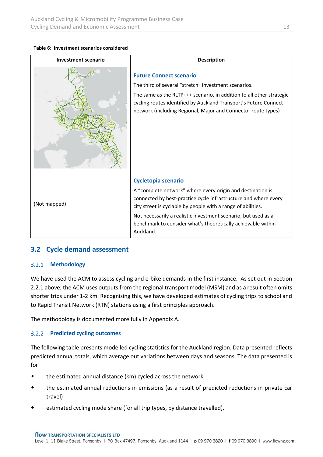**Table 6: Investment scenarios considered**

| Investment scenario | <b>Description</b>                                                                                                                                                                                                                                                                                                                                                  |
|---------------------|---------------------------------------------------------------------------------------------------------------------------------------------------------------------------------------------------------------------------------------------------------------------------------------------------------------------------------------------------------------------|
|                     | <b>Future Connect scenario</b><br>The third of several "stretch" investment scenarios.<br>The same as the RLTP+++ scenario, in addition to all other strategic<br>cycling routes identified by Auckland Transport's Future Connect<br>network (including Regional, Major and Connector route types)                                                                 |
| (Not mapped)        | Cycletopia scenario<br>A "complete network" where every origin and destination is<br>connected by best-practice cycle infrastructure and where every<br>city street is cyclable by people with a range of abilities.<br>Not necessarily a realistic investment scenario, but used as a<br>benchmark to consider what's theoretically achievable within<br>Auckland. |

### <span id="page-14-0"></span>**3.2 Cycle demand assessment**

#### <span id="page-14-1"></span>**Methodology**

We have used the ACM to assess cycling and e-bike demands in the first instance. As set out in Section 2.2.1 above, the ACM uses outputs from the regional transport model (MSM) and as a result often omits shorter trips under 1-2 km. Recognising this, we have developed estimates of cycling trips to school and to Rapid Transit Network (RTN) stations using a first principles approach.

The methodology is documented more fully in Appendix A.

#### <span id="page-14-2"></span> $3.2.2$ **Predicted cycling outcomes**

The following table presents modelled cycling statistics for the Auckland region. Data presented reflects predicted annual totals, which average out variations between days and seasons. The data presented is for

- the estimated annual distance (km) cycled across the network
- the estimated annual reductions in emissions (as a result of predicted reductions in private car travel)
- estimated cycling mode share (for all trip types, by distance travelled).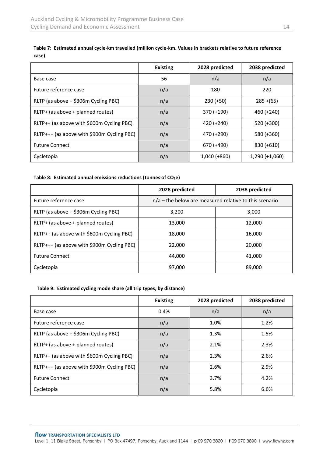|                                            | <b>Existing</b> | 2028 predicted | 2038 predicted   |
|--------------------------------------------|-----------------|----------------|------------------|
| Base case                                  | 56              | n/a            | n/a              |
| Future reference case                      | n/a             | 180            | 220              |
| RLTP (as above + \$306m Cycling PBC)       | n/a             | $230 (+50)$    | $285+(65)$       |
| RLTP+ (as above + planned routes)          | n/a             | 370 (+190)     | $460 (+240)$     |
| RLTP++ (as above with \$600m Cycling PBC)  | n/a             | $420 (+240)$   | 520 (+300)       |
| RLTP+++ (as above with \$900m Cycling PBC) | n/a             | 470 (+290)     | 580 (+360)       |
| <b>Future Connect</b>                      | n/a             | $670 (+490)$   | $830 (+610)$     |
| Cycletopia                                 | n/a             | $1,040 (+860)$ | $1,290 (+1,060)$ |

#### **Table 7: Estimated annual cycle-km travelled (million cycle-km. Values in brackets relative to future reference case)**

#### **Table 8: Estimated annual emissions reductions (tonnes of CO2e)**

|                                            | 2028 predicted                                           | 2038 predicted |  |
|--------------------------------------------|----------------------------------------------------------|----------------|--|
| Future reference case                      | $n/a$ – the below are measured relative to this scenario |                |  |
| RLTP (as above + \$306m Cycling PBC)       | 3,200                                                    | 3,000          |  |
| $RLTP+$ (as above + planned routes)        | 13,000                                                   | 12,000         |  |
| RLTP++ (as above with \$600m Cycling PBC)  | 18,000                                                   | 16,000         |  |
| RLTP+++ (as above with \$900m Cycling PBC) | 22,000                                                   | 20,000         |  |
| <b>Future Connect</b>                      | 44,000                                                   | 41,000         |  |
| Cycletopia                                 | 97,000                                                   | 89,000         |  |

#### **Table 9: Estimated cycling mode share (all trip types, by distance)**

|                                            | <b>Existing</b> | 2028 predicted | 2038 predicted |
|--------------------------------------------|-----------------|----------------|----------------|
| Base case                                  | 0.4%            | n/a            | n/a            |
| Future reference case                      | n/a             | 1.0%           | 1.2%           |
| RLTP (as above + \$306m Cycling PBC)       | n/a             | 1.3%           | 1.5%           |
| RLTP+ (as above + planned routes)          | n/a             | 2.1%           | 2.3%           |
| RLTP++ (as above with \$600m Cycling PBC)  | n/a             | 2.3%           | 2.6%           |
| RLTP+++ (as above with \$900m Cycling PBC) | n/a             | 2.6%           | 2.9%           |
| <b>Future Connect</b>                      | n/a             | 3.7%           | 4.2%           |
| Cycletopia                                 | n/a             | 5.8%           | 6.6%           |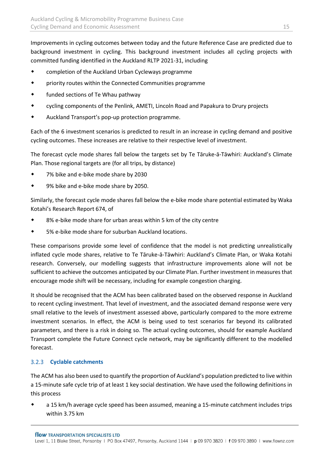Improvements in cycling outcomes between today and the future Reference Case are predicted due to background investment in cycling. This background investment includes all cycling projects with committed funding identified in the Auckland RLTP 2021-31, including

- completion of the Auckland Urban Cycleways programme
- priority routes within the Connected Communities programme
- funded sections of Te Whau pathway
- cycling components of the Penlink, AMETI, Lincoln Road and Papakura to Drury projects
- Auckland Transport's pop-up protection programme.

Each of the 6 investment scenarios is predicted to result in an increase in cycling demand and positive cycling outcomes. These increases are relative to their respective level of investment.

The forecast cycle mode shares fall below the targets set by Te Tāruke-ā-Tāwhiri: Auckland's Climate Plan. Those regional targets are (for all trips, by distance)

- 7% bike and e-bike mode share by 2030
- 9% bike and e-bike mode share by 2050.

Similarly, the forecast cycle mode shares fall below the e-bike mode share potential estimated by Waka Kotahi's Research Report 674, of

- 8% e-bike mode share for urban areas within 5 km of the city centre
- 5% e-bike mode share for suburban Auckland locations.

These comparisons provide some level of confidence that the model is not predicting unrealistically inflated cycle mode shares, relative to Te Tāruke-ā-Tāwhiri: Auckland's Climate Plan, or Waka Kotahi research. Conversely, our modelling suggests that infrastructure improvements alone will not be sufficient to achieve the outcomes anticipated by our Climate Plan. Further investment in measures that encourage mode shift will be necessary, including for example congestion charging.

It should be recognised that the ACM has been calibrated based on the observed response in Auckland to recent cycling investment. That level of investment, and the associated demand response were very small relative to the levels of investment assessed above, particularly compared to the more extreme investment scenarios. In effect, the ACM is being used to test scenarios far beyond its calibrated parameters, and there is a risk in doing so. The actual cycling outcomes, should for example Auckland Transport complete the Future Connect cycle network, may be significantly different to the modelled forecast.

### <span id="page-16-0"></span>**Cyclable catchments**

The ACM has also been used to quantify the proportion of Auckland's population predicted to live within a 15-minute safe cycle trip of at least 1 key social destination. We have used the following definitions in this process

 a 15 km/h average cycle speed has been assumed, meaning a 15-minute catchment includes trips within 3.75 km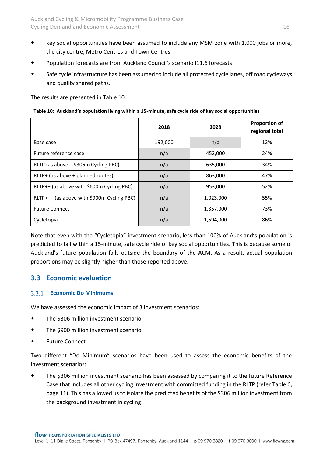- key social opportunities have been assumed to include any MSM zone with 1,000 jobs or more, the city centre, Metro Centres and Town Centres
- Population forecasts are from Auckland Council's scenario I11.6 forecasts
- Safe cycle infrastructure has been assumed to include all protected cycle lanes, off road cycleways and quality shared paths.

The results are presented in [Table 10.](#page-17-2)

<span id="page-17-2"></span>

|                                            | 2018    | 2028      | <b>Proportion of</b><br>regional total |
|--------------------------------------------|---------|-----------|----------------------------------------|
| Base case                                  | 192,000 | n/a       | 12%                                    |
| Future reference case                      | n/a     | 452,000   | 24%                                    |
| RLTP (as above + \$306m Cycling PBC)       | n/a     | 635,000   | 34%                                    |
| RLTP+ (as above + planned routes)          | n/a     | 863,000   | 47%                                    |
| RLTP++ (as above with \$600m Cycling PBC)  | n/a     | 953,000   | 52%                                    |
| RLTP+++ (as above with \$900m Cycling PBC) | n/a     | 1,023,000 | 55%                                    |
| <b>Future Connect</b>                      | n/a     | 1,357,000 | 73%                                    |
| Cycletopia                                 | n/a     | 1,594,000 | 86%                                    |

Note that even with the "Cycletopia" investment scenario, less than 100% of Auckland's population is predicted to fall within a 15-minute, safe cycle ride of key social opportunities. This is because some of Auckland's future population falls outside the boundary of the ACM. As a result, actual population proportions may be slightly higher than those reported above.

### <span id="page-17-0"></span>**3.3 Economic evaluation**

### <span id="page-17-1"></span>**Economic Do Minimums**

We have assessed the economic impact of 3 investment scenarios:

- The \$306 million investment scenario
- The \$900 million investment scenario
- Future Connect

Two different "Do Minimum" scenarios have been used to assess the economic benefits of the investment scenarios:

 The \$306 million investment scenario has been assessed by comparing it to the future Reference Case that includes all other cycling investment with committed funding in the RLTP (refer [Table 6,](#page-12-2) pag[e 11\)](#page-12-2). This has allowed us to isolate the predicted benefits of the \$306 million investment from the background investment in cycling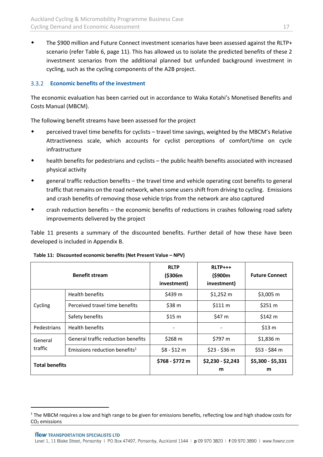The \$900 million and Future Connect investment scenarios have been assessed against the RLTP+ scenario (refer [Table 6,](#page-12-2) page [11\)](#page-12-2). This has allowed us to isolate the predicted benefits of these 2 investment scenarios from the additional planned but unfunded background investment in cycling, such as the cycling components of the A2B project.

#### <span id="page-18-0"></span>**Economic benefits of the investment**

The economic evaluation has been carried out in accordance to Waka Kotahi's Monetised Benefits and Costs Manual (MBCM).

The following benefit streams have been assessed for the project

- perceived travel time benefits for cyclists travel time savings, weighted by the MBCM's Relative Attractiveness scale, which accounts for cyclist perceptions of comfort/time on cycle infrastructure
- health benefits for pedestrians and cyclists the public health benefits associated with increased physical activity
- general traffic reduction benefits the travel time and vehicle operating cost benefits to general traffic that remains on the road network, when some users shift from driving to cycling. Emissions and crash benefits of removing those vehicle trips from the network are also captured
- crash reduction benefits the economic benefits of reductions in crashes following road safety improvements delivered by the project

[Table 11](#page-18-1) presents a summary of the discounted benefits. Further detail of how these have been developed is included in Appendix B.

| <b>Benefit stream</b> |                                           | <b>RLTP</b><br>(\$306m<br>investment) | $RLTP+++$<br>(\$900m<br>investment) | <b>Future Connect</b>  |
|-----------------------|-------------------------------------------|---------------------------------------|-------------------------------------|------------------------|
| Cycling               | <b>Health benefits</b>                    | \$439 m                               | $$1,252 \text{ m}$                  | $$3,005 \text{ m}$     |
|                       | Perceived travel time benefits            | \$38 m                                | \$111 m                             | \$251 m                |
|                       | Safety benefits                           | \$15 m                                | \$47 m                              | \$142 m                |
| Pedestrians           | <b>Health benefits</b>                    |                                       |                                     | \$13 m                 |
| General<br>traffic    | General traffic reduction benefits        | \$268 m                               | \$797 m                             | $$1,836 \text{ m}$     |
|                       | Emissions reduction benefits <sup>1</sup> | $$8 - $12 m$                          | $$23 - $36 m$                       | $$53 - $84 m$          |
| <b>Total benefits</b> |                                           | \$768 - \$772 m                       | $$2,230 - $2,243$<br>m              | \$5,300 - \$5,331<br>m |

<span id="page-18-1"></span>

 $1$  The MBCM requires a low and high range to be given for emissions benefits, reflecting low and high shadow costs for CO<sup>2</sup> emissions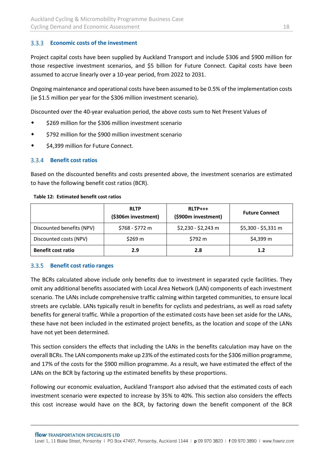#### <span id="page-19-0"></span>**Economic costs of the investment**

Project capital costs have been supplied by Auckland Transport and include \$306 and \$900 million for those respective investment scenarios, and \$5 billion for Future Connect. Capital costs have been assumed to accrue linearly over a 10-year period, from 2022 to 2031.

Ongoing maintenance and operational costs have been assumed to be 0.5% of the implementation costs (ie \$1.5 million per year for the \$306 million investment scenario).

Discounted over the 40-year evaluation period, the above costs sum to Net Present Values of

- \$269 million for the \$306 million investment scenario
- \$792 million for the \$900 million investment scenario
- \$4,399 million for Future Connect.

#### <span id="page-19-1"></span>**Benefit cost ratios**

Based on the discounted benefits and costs presented above, the investment scenarios are estimated to have the following benefit cost ratios (BCR).

|                           | <b>RLTP</b><br>(\$306m investment) | $RLTP+++$<br>(\$900m investment) | <b>Future Connect</b> |
|---------------------------|------------------------------------|----------------------------------|-----------------------|
| Discounted benefits (NPV) | \$768 - \$772 m                    | \$2,230 - \$2,243 m              | \$5,300 - \$5,331 m   |
| Discounted costs (NPV)    | \$269 $m$                          | \$792 m                          | \$4,399 m             |
| <b>Benefit cost ratio</b> | 2.9                                | 2.8                              | 1.2                   |

#### **Table 12: Estimated benefit cost ratios**

### <span id="page-19-2"></span>**Benefit cost ratio ranges**

The BCRs calculated above include only benefits due to investment in separated cycle facilities. They omit any additional benefits associated with Local Area Network (LAN) components of each investment scenario. The LANs include comprehensive traffic calming within targeted communities, to ensure local streets are cyclable. LANs typically result in benefits for cyclists and pedestrians, as well as road safety benefits for general traffic. While a proportion of the estimated costs have been set aside for the LANs, these have not been included in the estimated project benefits, as the location and scope of the LANs have not yet been determined.

This section considers the effects that including the LANs in the benefits calculation may have on the overall BCRs. The LAN components make up 23% of the estimated costs for the \$306 million programme, and 17% of the costs for the \$900 million programme. As a result, we have estimated the effect of the LANs on the BCR by factoring up the estimated benefits by these proportions.

Following our economic evaluation, Auckland Transport also advised that the estimated costs of each investment scenario were expected to increase by 35% to 40%. This section also considers the effects this cost increase would have on the BCR, by factoring down the benefit component of the BCR

**flow TRANSPORTATION SPECIALISTS LTD**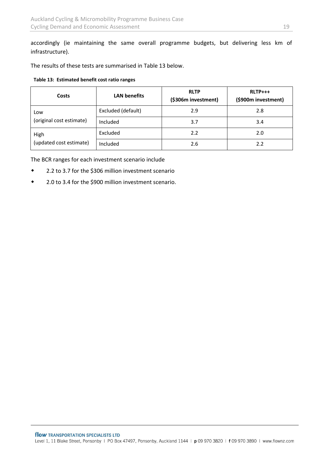accordingly (ie maintaining the same overall programme budgets, but delivering less km of infrastructure).

The results of these tests are summarised in [Table 13](#page-20-0) below.

#### <span id="page-20-0"></span>**Table 13: Estimated benefit cost ratio ranges**

| Costs                    | <b>LAN benefits</b> | <b>RLTP</b><br>(\$306m investment) | $RLTP+++$<br>(\$900m investment) |
|--------------------------|---------------------|------------------------------------|----------------------------------|
| Low                      | Excluded (default)  | 2.9                                | 2.8                              |
| (original cost estimate) | Included            | 3.7                                | 3.4                              |
| High                     | Excluded            | 2.2                                | 2.0                              |
| (updated cost estimate)  | Included            | 2.6                                | 2.2                              |

The BCR ranges for each investment scenario include

- 2.2 to 3.7 for the \$306 million investment scenario
- 2.0 to 3.4 for the \$900 million investment scenario.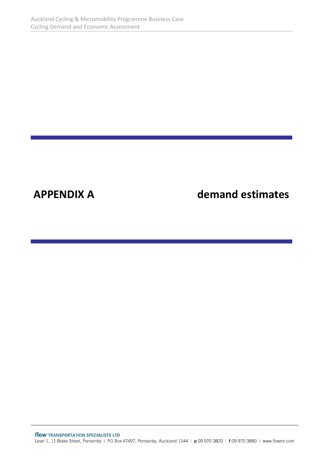# <span id="page-21-1"></span><span id="page-21-0"></span>**APPENDIX A demand estimates**

**flow TRANSPORTATION SPECIALISTS LTD** Level 1, 11 Blake Street, Ponsonby | PO Box 47497, Ponsonby, Auckland 1144 | p 09 970 3820 | f 09 970 3890 | www.flownz.com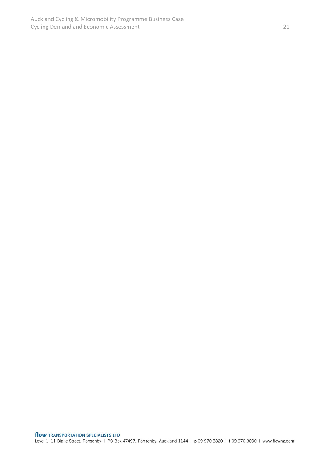**flow TRANSPORTATION SPECIALISTS LTD** Level 1, 11 Blake Street, Ponsonby | PO Box 47497, Ponsonby, Auckland 1144 | p 09 970 3820 | f 09 970 3890 | www.flownz.com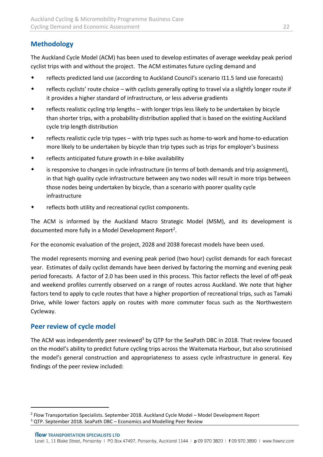### **Methodology**

The Auckland Cycle Model (ACM) has been used to develop estimates of average weekday peak period cyclist trips with and without the project. The ACM estimates future cycling demand and

- reflects predicted land use (according to Auckland Council's scenario I11.5 land use forecasts)
- reflects cyclists' route choice with cyclists generally opting to travel via a slightly longer route if it provides a higher standard of infrastructure, or less adverse gradients
- reflects realistic cycling trip lengths with longer trips less likely to be undertaken by bicycle than shorter trips, with a probability distribution applied that is based on the existing Auckland cycle trip length distribution
- reflects realistic cycle trip types with trip types such as home-to-work and home-to-education more likely to be undertaken by bicycle than trip types such as trips for employer's business
- reflects anticipated future growth in e-bike availability
- is responsive to changes in cycle infrastructure (in terms of both demands and trip assignment), in that high quality cycle infrastructure between any two nodes will result in more trips between those nodes being undertaken by bicycle, than a scenario with poorer quality cycle infrastructure
- reflects both utility and recreational cyclist components.

The ACM is informed by the Auckland Macro Strategic Model (MSM), and its development is documented more fully in a Model Development Report<sup>2</sup>.

For the economic evaluation of the project, 2028 and 2038 forecast models have been used.

The model represents morning and evening peak period (two hour) cyclist demands for each forecast year. Estimates of daily cyclist demands have been derived by factoring the morning and evening peak period forecasts. A factor of 2.0 has been used in this process. This factor reflects the level of off-peak and weekend profiles currently observed on a range of routes across Auckland. We note that higher factors tend to apply to cycle routes that have a higher proportion of recreational trips, such as Tamaki Drive, while lower factors apply on routes with more commuter focus such as the Northwestern Cycleway.

### **Peer review of cycle model**

The ACM was independently peer reviewed<sup>3</sup> by QTP for the SeaPath DBC in 2018. That review focused on the model's ability to predict future cycling trips across the Waitemata Harbour, but also scrutinised the model's general construction and appropriateness to assess cycle infrastructure in general. Key findings of the peer review included:

<sup>&</sup>lt;sup>2</sup> Flow Transportation Specialists. September 2018. Auckland Cycle Model – Model Development Report

<sup>&</sup>lt;sup>3</sup> QTP. September 2018. SeaPath DBC – Economics and Modelling Peer Review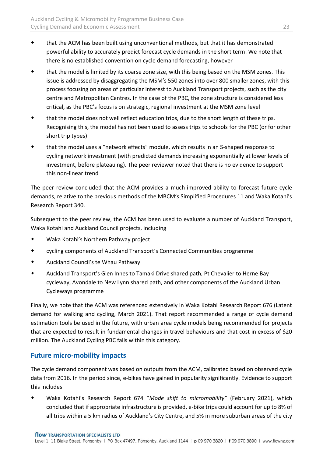- that the ACM has been built using unconventional methods, but that it has demonstrated powerful ability to accurately predict forecast cycle demands in the short term. We note that there is no established convention on cycle demand forecasting, however
- that the model is limited by its coarse zone size, with this being based on the MSM zones. This issue is addressed by disaggregating the MSM's 550 zones into over 800 smaller zones, with this process focusing on areas of particular interest to Auckland Transport projects, such as the city centre and Metropolitan Centres. In the case of the PBC, the zone structure is considered less critical, as the PBC's focus is on strategic, regional investment at the MSM zone level
- that the model does not well reflect education trips, due to the short length of these trips. Recognising this, the model has not been used to assess trips to schools for the PBC (or for other short trip types)
- that the model uses a "network effects" module, which results in an S-shaped response to cycling network investment (with predicted demands increasing exponentially at lower levels of investment, before plateauing). The peer reviewer noted that there is no evidence to support this non-linear trend

The peer review concluded that the ACM provides a much-improved ability to forecast future cycle demands, relative to the previous methods of the MBCM's Simplified Procedures 11 and Waka Kotahi's Research Report 340.

Subsequent to the peer review, the ACM has been used to evaluate a number of Auckland Transport, Waka Kotahi and Auckland Council projects, including

- Waka Kotahi's Northern Pathway project
- cycling components of Auckland Transport's Connected Communities programme
- Auckland Council's te Whau Pathway
- Auckland Transport's Glen Innes to Tamaki Drive shared path, Pt Chevalier to Herne Bay cycleway, Avondale to New Lynn shared path, and other components of the Auckland Urban Cycleways programme

Finally, we note that the ACM was referenced extensively in Waka Kotahi Research Report 676 (Latent demand for walking and cycling, March 2021). That report recommended a range of cycle demand estimation tools be used in the future, with urban area cycle models being recommended for projects that are expected to result in fundamental changes in travel behaviours and that cost in excess of \$20 million. The Auckland Cycling PBC falls within this category.

### **Future micro-mobility impacts**

The cycle demand component was based on outputs from the ACM, calibrated based on observed cycle data from 2016. In the period since, e-bikes have gained in popularity significantly. Evidence to support this includes

 Waka Kotahi's Research Report 674 "*Mode shift to micromobility"* (February 2021), which concluded that if appropriate infrastructure is provided, e-bike trips could account for up to 8% of all trips within a 5 km radius of Auckland's City Centre, and 5% in more suburban areas of the city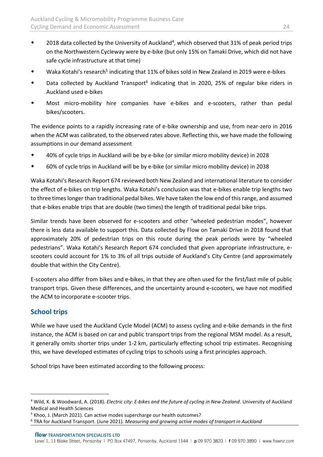- \* 2018 data collected by the University of Auckland<sup>4</sup>, which observed that 31% of peak period trips on the Northwestern Cycleway were by e-bike (but only 15% on Tamaki Drive, which did not have safe cycle infrastructure at that time)
- ◆ Waka Kotahi's research<sup>5</sup> indicating that 11% of bikes sold in New Zealand in 2019 were e-bikes
- Data collected by Auckland Transport<sup>6</sup> indicating that in 2020, 25% of regular bike riders in Auckland used e-bikes
- Most micro-mobility hire companies have e-bikes and e-scooters, rather than pedal bikes/scooters.

The evidence points to a rapidly increasing rate of e-bike ownership and use, from near-zero in 2016 when the ACM was calibrated, to the observed rates above. Reflecting this, we have made the following assumptions in our demand assessment

- 40% of cycle trips in Auckland will be by e-bike (or similar micro mobility device) in 2028
- 60% of cycle trips in Auckland will be by e-bike (or similar micro mobility device) in 2038

Waka Kotahi's Research Report 674 reviewed both New Zealand and international literature to consider the effect of e-bikes on trip lengths. Waka Kotahi's conclusion was that e-bikes enable trip lengths two to three times longer than traditional pedal bikes. We have taken the low end of this range, and assumed that e-bikes enable trips that are double (two times) the length of traditional pedal bike trips.

Similar trends have been observed for e-scooters and other "wheeled pedestrian modes", however there is less data available to support this. Data collected by Flow on Tamaki Drive in 2018 found that approximately 20% of pedestrian trips on this route during the peak periods were by "wheeled pedestrians". Waka Kotahi's Research Report 674 concluded that given appropriate infrastructure, escooters could account for 1% to 3% of all trips outside of Auckland's City Centre (and approximately double that within the City Centre).

E-scooters also differ from bikes and e-bikes, in that they are often used for the first/last mile of public transport trips. Given these differences, and the uncertainty around e-scooters, we have not modified the ACM to incorporate e-scooter trips.

### **School trips**

While we have used the Auckland Cycle Model (ACM) to assess cycling and e-bike demands in the first instance, the ACM is based on car and public transport trips from the regional MSM model. As a result, it generally omits shorter trips under 1-2 km, particularly effecting school trip estimates. Recognising this, we have developed estimates of cycling trips to schools using a first principles approach.

School trips have been estimated according to the following process:

**flow TRANSPORTATION SPECIALISTS LTD** 

<sup>4</sup> Wild, K. & Woodward, A. (2018). *Electric city: E-bikes and the future of cycling in New Zealand*. University of Auckland Medical and Health Sciences

<sup>&</sup>lt;sup>5</sup> Khoo, J. (March 2021). Can active modes supercharge our health outcomes?

<sup>6</sup> TRA for Auckland Transport. (June 2021). *Measuring and growing active modes of transport in Auckland*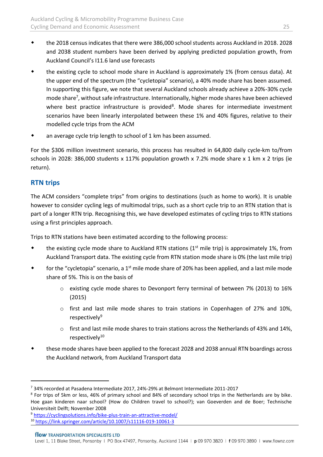- the 2018 census indicates that there were 386,000 school students across Auckland in 2018. 2028 and 2038 student numbers have been derived by applying predicted population growth, from Auckland Council's I11.6 land use forecasts
- the existing cycle to school mode share in Auckland is approximately 1% (from census data). At the upper end of the spectrum (the "cycletopia" scenario), a 40% mode share has been assumed. In supporting this figure, we note that several Auckland schools already achieve a 20%-30% cycle mode share<sup>7</sup>, without safe infrastructure. Internationally, higher mode shares have been achieved where best practice infrastructure is provided<sup>8</sup>. Mode shares for intermediate investment scenarios have been linearly interpolated between these 1% and 40% figures, relative to their modelled cycle trips from the ACM
- an average cycle trip length to school of 1 km has been assumed.

For the \$306 million investment scenario, this process has resulted in 64,800 daily cycle-km to/from schools in 2028: 386,000 students x 117% population growth x 7.2% mode share x 1 km x 2 trips (ie return).

### **RTN trips**

The ACM considers "complete trips" from origins to destinations (such as home to work). It is unable however to consider cycling legs of multimodal trips, such as a short cycle trip to an RTN station that is part of a longer RTN trip. Recognising this, we have developed estimates of cycling trips to RTN stations using a first principles approach.

Trips to RTN stations have been estimated according to the following process:

- $\bullet$  the existing cycle mode share to Auckland RTN stations (1<sup>st</sup> mile trip) is approximately 1%, from Auckland Transport data. The existing cycle from RTN station mode share is 0% (the last mile trip)
- $\bullet$  for the "cycletopia" scenario, a 1<sup>st</sup> mile mode share of 20% has been applied, and a last mile mode share of 5%. This is on the basis of
	- o existing cycle mode shares to Devonport ferry terminal of between 7% (2013) to 16% (2015)
	- o first and last mile mode shares to train stations in Copenhagen of 27% and 10%, respectively<sup>9</sup>
	- $\circ$  first and last mile mode shares to train stations across the Netherlands of 43% and 14%, respectively $10$
- these mode shares have been applied to the forecast 2028 and 2038 annual RTN boardings across the Auckland network, from Auckland Transport data

<sup>7</sup> 34% recorded at Pasadena Intermediate 2017, 24%-29% at Belmont Intermediate 2011-2017

<sup>&</sup>lt;sup>8</sup> For trips of 5km or less, 46% of primary school and 84% of secondary school trips in the Netherlands are by bike. Hoe gaan kinderen naar school? (How do Children travel to school?); van Goeverden and de Boer; Technische Universiteit Delft; November 2008

<sup>9</sup> <https://cyclingsolutions.info/bike-plus-train-an-attractive-model/>

<sup>10</sup> <https://link.springer.com/article/10.1007/s11116-019-10061-3>

**flow TRANSPORTATION SPECIALISTS LTD**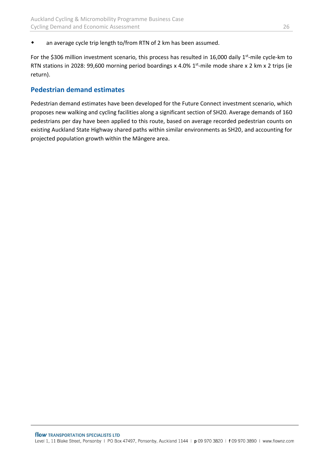an average cycle trip length to/from RTN of 2 km has been assumed.

For the \$306 million investment scenario, this process has resulted in 16,000 daily 1<sup>st</sup>-mile cycle-km to RTN stations in 2028: 99,600 morning period boardings x 4.0%  $1<sup>st</sup>$ -mile mode share x 2 km x 2 trips (ie return).

### **Pedestrian demand estimates**

Pedestrian demand estimates have been developed for the Future Connect investment scenario, which proposes new walking and cycling facilities along a significant section of SH20. Average demands of 160 pedestrians per day have been applied to this route, based on average recorded pedestrian counts on existing Auckland State Highway shared paths within similar environments as SH20, and accounting for projected population growth within the Māngere area.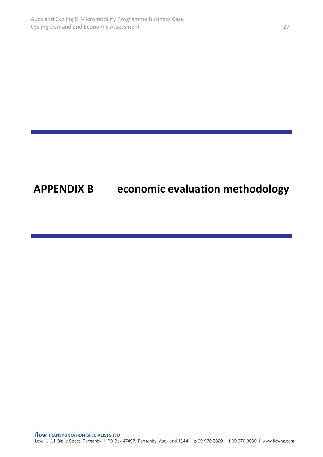# <span id="page-28-1"></span><span id="page-28-0"></span>**APPENDIX B economic evaluation methodology**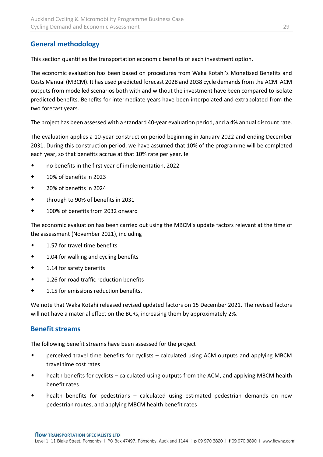### **General methodology**

This section quantifies the transportation economic benefits of each investment option.

The economic evaluation has been based on procedures from Waka Kotahi's Monetised Benefits and Costs Manual (MBCM). It has used predicted forecast 2028 and 2038 cycle demands from the ACM. ACM outputs from modelled scenarios both with and without the investment have been compared to isolate predicted benefits. Benefits for intermediate years have been interpolated and extrapolated from the two forecast years.

The project has been assessed with a standard 40-year evaluation period, and a 4% annual discount rate.

The evaluation applies a 10-year construction period beginning in January 2022 and ending December 2031. During this construction period, we have assumed that 10% of the programme will be completed each year, so that benefits accrue at that 10% rate per year. Ie

- no benefits in the first year of implementation, 2022
- 10% of benefits in 2023
- 20% of benefits in 2024
- through to 90% of benefits in 2031
- 100% of benefits from 2032 onward

The economic evaluation has been carried out using the MBCM's update factors relevant at the time of the assessment (November 2021), including

- 1.57 for travel time benefits
- 1.04 for walking and cycling benefits
- 1.14 for safety benefits
- 1.26 for road traffic reduction benefits
- 1.15 for emissions reduction benefits.

We note that Waka Kotahi released revised updated factors on 15 December 2021. The revised factors will not have a material effect on the BCRs, increasing them by approximately 2%.

### **Benefit streams**

The following benefit streams have been assessed for the project

- perceived travel time benefits for cyclists calculated using ACM outputs and applying MBCM travel time cost rates
- health benefits for cyclists calculated using outputs from the ACM, and applying MBCM health benefit rates
- health benefits for pedestrians calculated using estimated pedestrian demands on new pedestrian routes, and applying MBCM health benefit rates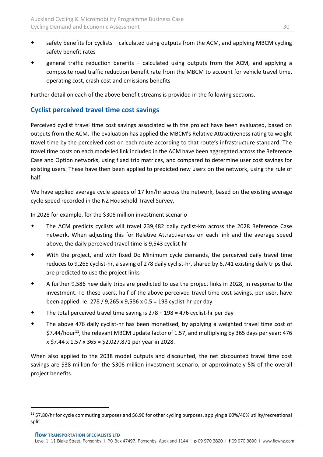- safety benefits for cyclists calculated using outputs from the ACM, and applying MBCM cycling safety benefit rates
- general traffic reduction benefits calculated using outputs from the ACM, and applying a composite road traffic reduction benefit rate from the MBCM to account for vehicle travel time, operating cost, crash cost and emissions benefits

Further detail on each of the above benefit streams is provided in the following sections.

### **Cyclist perceived travel time cost savings**

Perceived cyclist travel time cost savings associated with the project have been evaluated, based on outputs from the ACM. The evaluation has applied the MBCM's Relative Attractiveness rating to weight travel time by the perceived cost on each route according to that route's infrastructure standard. The travel time costs on each modelled link included in the ACM have been aggregated across the Reference Case and Option networks, using fixed trip matrices, and compared to determine user cost savings for existing users. These have then been applied to predicted new users on the network, using the rule of half.

We have applied average cycle speeds of 17 km/hr across the network, based on the existing average cycle speed recorded in the NZ Household Travel Survey.

In 2028 for example, for the \$306 million investment scenario

- The ACM predicts cyclists will travel 239,482 daily cyclist-km across the 2028 Reference Case network. When adjusting this for Relative Attractiveness on each link and the average speed above, the daily perceived travel time is 9,543 cyclist-hr
- With the project, and with fixed Do Minimum cycle demands, the perceived daily travel time reduces to 9,265 cyclist-hr, a saving of 278 daily cyclist-hr, shared by 6,741 existing daily trips that are predicted to use the project links
- A further 9,586 new daily trips are predicted to use the project links in 2028, in response to the investment. To these users, half of the above perceived travel time cost savings, per user, have been applied. Ie: 278 / 9,265 x 9,586 x 0.5 = 198 cyclist-hr per day
- The total perceived travel time saving is 278 + 198 = 476 cyclist-hr per day
- The above 476 daily cyclist-hr has been monetised, by applying a weighted travel time cost of \$7.44/hour<sup>11</sup>, the relevant MBCM update factor of 1.57, and multiplying by 365 days per year: 476 x \$7.44 x 1.57 x 365 = \$2,027,871 per year in 2028.

When also applied to the 2038 model outputs and discounted, the net discounted travel time cost savings are \$38 million for the \$306 million investment scenario, or approximately 5% of the overall project benefits.

<sup>11</sup> \$7.80/hr for cycle commuting purposes and \$6.90 for other cycling purposes, applying a 60%/40% utility/recreational split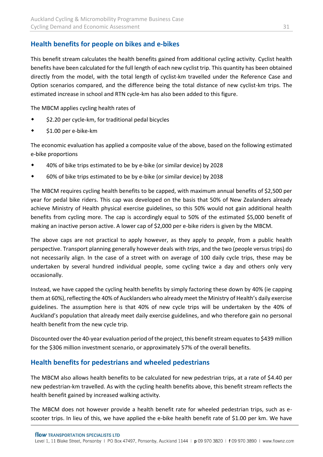### **Health benefits for people on bikes and e-bikes**

This benefit stream calculates the health benefits gained from additional cycling activity. Cyclist health benefits have been calculated for the full length of each new cyclist trip. This quantity has been obtained directly from the model, with the total length of cyclist-km travelled under the Reference Case and Option scenarios compared, and the difference being the total distance of new cyclist-km trips. The estimated increase in school and RTN cycle-km has also been added to this figure.

The MBCM applies cycling health rates of

- \$2.20 per cycle-km, for traditional pedal bicycles
- \$1.00 per e-bike-km

The economic evaluation has applied a composite value of the above, based on the following estimated e-bike proportions

- 40% of bike trips estimated to be by e-bike (or similar device) by 2028
- 60% of bike trips estimated to be by e-bike (or similar device) by 2038

The MBCM requires cycling health benefits to be capped, with maximum annual benefits of \$2,500 per year for pedal bike riders. This cap was developed on the basis that 50% of New Zealanders already achieve Ministry of Health physical exercise guidelines, so this 50% would not gain additional health benefits from cycling more. The cap is accordingly equal to 50% of the estimated \$5,000 benefit of making an inactive person active. A lower cap of \$2,000 per e-bike riders is given by the MBCM.

The above caps are not practical to apply however, as they apply to *people*, from a public health perspective. Transport planning generally however deals with *trips*, and the two (people versus trips) do not necessarily align. In the case of a street with on average of 100 daily cycle trips, these may be undertaken by several hundred individual people, some cycling twice a day and others only very occasionally.

Instead, we have capped the cycling health benefits by simply factoring these down by 40% (ie capping them at 60%), reflecting the 40% of Aucklanders who already meet the Ministry of Health's daily exercise guidelines. The assumption here is that 40% of new cycle trips will be undertaken by the 40% of Auckland's population that already meet daily exercise guidelines, and who therefore gain no personal health benefit from the new cycle trip.

Discounted over the 40-year evaluation period of the project, this benefit stream equates to \$439 million for the \$306 million investment scenario, or approximately 57% of the overall benefits.

### **Health benefits for pedestrians and wheeled pedestrians**

The MBCM also allows health benefits to be calculated for new pedestrian trips, at a rate of \$4.40 per new pedestrian-km travelled. As with the cycling health benefits above, this benefit stream reflects the health benefit gained by increased walking activity.

The MBCM does not however provide a health benefit rate for wheeled pedestrian trips, such as escooter trips. In lieu of this, we have applied the e-bike health benefit rate of \$1.00 per km. We have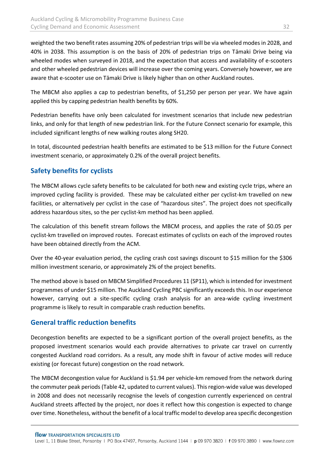weighted the two benefit rates assuming 20% of pedestrian trips will be via wheeled modes in 2028, and 40% in 2038. This assumption is on the basis of 20% of pedestrian trips on Tāmaki Drive being via wheeled modes when surveyed in 2018, and the expectation that access and availability of e-scooters and other wheeled pedestrian devices will increase over the coming years. Conversely however, we are aware that e-scooter use on Tāmaki Drive is likely higher than on other Auckland routes.

The MBCM also applies a cap to pedestrian benefits, of \$1,250 per person per year. We have again applied this by capping pedestrian health benefits by 60%.

Pedestrian benefits have only been calculated for investment scenarios that include new pedestrian links, and only for that length of new pedestrian link. For the Future Connect scenario for example, this included significant lengths of new walking routes along SH20.

In total, discounted pedestrian health benefits are estimated to be \$13 million for the Future Connect investment scenario, or approximately 0.2% of the overall project benefits.

### **Safety benefits for cyclists**

The MBCM allows cycle safety benefits to be calculated for both new and existing cycle trips, where an improved cycling facility is provided. These may be calculated either per cyclist-km travelled on new facilities, or alternatively per cyclist in the case of "hazardous sites". The project does not specifically address hazardous sites, so the per cyclist-km method has been applied.

The calculation of this benefit stream follows the MBCM process, and applies the rate of \$0.05 per cyclist-km travelled on improved routes. Forecast estimates of cyclists on each of the improved routes have been obtained directly from the ACM.

Over the 40-year evaluation period, the cycling crash cost savings discount to \$15 million for the \$306 million investment scenario, or approximately 2% of the project benefits.

The method above is based on MBCM Simplified Procedures 11 (SP11), which is intended for investment programmes of under \$15 million. The Auckland Cycling PBC significantly exceeds this. In our experience however, carrying out a site-specific cycling crash analysis for an area-wide cycling investment programme is likely to result in comparable crash reduction benefits.

### **General traffic reduction benefits**

Decongestion benefits are expected to be a significant portion of the overall project benefits, as the proposed investment scenarios would each provide alternatives to private car travel on currently congested Auckland road corridors. As a result, any mode shift in favour of active modes will reduce existing (or forecast future) congestion on the road network.

The MBCM decongestion value for Auckland is \$1.94 per vehicle-km removed from the network during the commuter peak periods (Table 42, updated to current values). This region-wide value was developed in 2008 and does not necessarily recognise the levels of congestion currently experienced on central Auckland streets affected by the project, nor does it reflect how this congestion is expected to change over time. Nonetheless, without the benefit of a local traffic model to develop area specific decongestion

**flow TRANSPORTATION SPECIALISTS LTD**